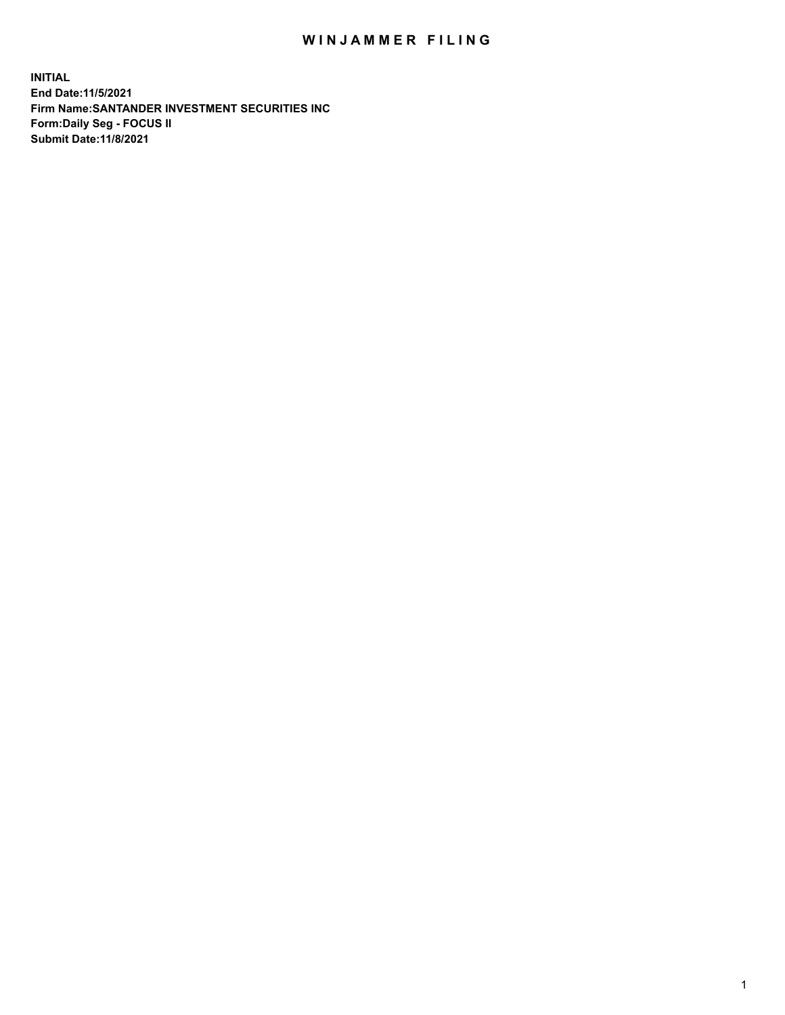## WIN JAMMER FILING

**INITIAL End Date:11/5/2021 Firm Name:SANTANDER INVESTMENT SECURITIES INC Form:Daily Seg - FOCUS II Submit Date:11/8/2021**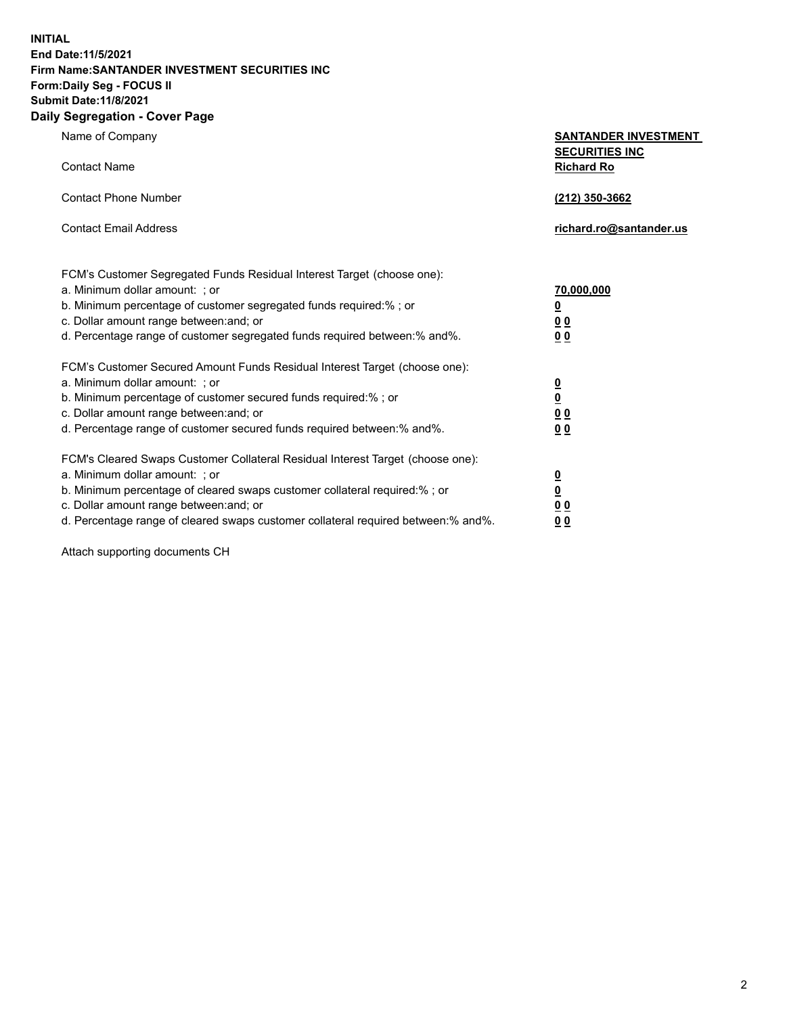**INITIAL End Date:11/5/2021 Firm Name:SANTANDER INVESTMENT SECURITIES INC Form:Daily Seg - FOCUS II Submit Date:11/8/2021 Daily Segregation - Cover Page**

| Name of Company                                                                                                                                                                                                                                                                                                                | <b>SANTANDER INVESTMENT</b>                             |
|--------------------------------------------------------------------------------------------------------------------------------------------------------------------------------------------------------------------------------------------------------------------------------------------------------------------------------|---------------------------------------------------------|
| <b>Contact Name</b>                                                                                                                                                                                                                                                                                                            | <b>SECURITIES INC</b><br><b>Richard Ro</b>              |
| <b>Contact Phone Number</b>                                                                                                                                                                                                                                                                                                    | (212) 350-3662                                          |
| <b>Contact Email Address</b>                                                                                                                                                                                                                                                                                                   | richard.ro@santander.us                                 |
| FCM's Customer Segregated Funds Residual Interest Target (choose one):<br>a. Minimum dollar amount: ; or<br>b. Minimum percentage of customer segregated funds required:% ; or<br>c. Dollar amount range between: and; or                                                                                                      | 70,000,000<br><u>0</u><br>00                            |
| d. Percentage range of customer segregated funds required between:% and%.<br>FCM's Customer Secured Amount Funds Residual Interest Target (choose one):<br>a. Minimum dollar amount: ; or                                                                                                                                      | 0 <sub>0</sub><br>$\frac{0}{0}$                         |
| b. Minimum percentage of customer secured funds required:%; or<br>c. Dollar amount range between: and; or<br>d. Percentage range of customer secured funds required between:% and%.                                                                                                                                            | 0 <sub>0</sub><br>0 <sub>0</sub>                        |
| FCM's Cleared Swaps Customer Collateral Residual Interest Target (choose one):<br>a. Minimum dollar amount: ; or<br>b. Minimum percentage of cleared swaps customer collateral required:% ; or<br>c. Dollar amount range between: and; or<br>d. Percentage range of cleared swaps customer collateral required between:% and%. | $\frac{\mathsf{0}}{\mathsf{0}}$<br>0 <sub>0</sub><br>00 |

Attach supporting documents CH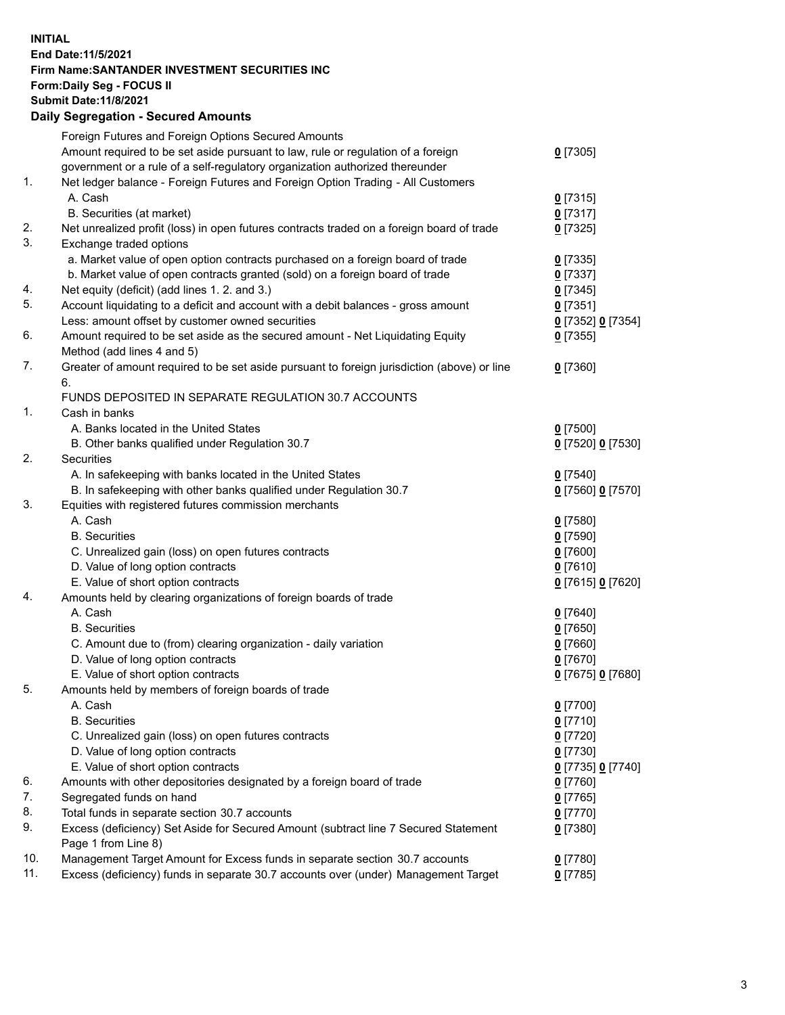## **INITIAL End Date:11/5/2021 Firm Name:SANTANDER INVESTMENT SECURITIES INC Form:Daily Seg - FOCUS II Submit Date:11/8/2021 Daily Segregation - Secured Amounts**

|            | Foreign Futures and Foreign Options Secured Amounts                                         |                   |
|------------|---------------------------------------------------------------------------------------------|-------------------|
|            | Amount required to be set aside pursuant to law, rule or regulation of a foreign            | $0$ [7305]        |
|            | government or a rule of a self-regulatory organization authorized thereunder                |                   |
| 1.         | Net ledger balance - Foreign Futures and Foreign Option Trading - All Customers             |                   |
|            | A. Cash                                                                                     | $0$ [7315]        |
|            | B. Securities (at market)                                                                   | $0$ [7317]        |
| 2.         | Net unrealized profit (loss) in open futures contracts traded on a foreign board of trade   | $0$ [7325]        |
| 3.         | Exchange traded options                                                                     |                   |
|            | a. Market value of open option contracts purchased on a foreign board of trade              | $0$ [7335]        |
|            | b. Market value of open contracts granted (sold) on a foreign board of trade                | $0$ [7337]        |
| 4.         | Net equity (deficit) (add lines 1. 2. and 3.)                                               | $0$ [7345]        |
| 5.         | Account liquidating to a deficit and account with a debit balances - gross amount           | $0$ [7351]        |
|            | Less: amount offset by customer owned securities                                            | 0 [7352] 0 [7354] |
| 6.         | Amount required to be set aside as the secured amount - Net Liquidating Equity              | $0$ [7355]        |
|            | Method (add lines 4 and 5)                                                                  |                   |
| 7.         | Greater of amount required to be set aside pursuant to foreign jurisdiction (above) or line | $0$ [7360]        |
|            | 6.                                                                                          |                   |
|            | FUNDS DEPOSITED IN SEPARATE REGULATION 30.7 ACCOUNTS                                        |                   |
| 1.         | Cash in banks                                                                               |                   |
|            | A. Banks located in the United States                                                       | $0$ [7500]        |
|            | B. Other banks qualified under Regulation 30.7                                              | 0 [7520] 0 [7530] |
| 2.         | <b>Securities</b>                                                                           |                   |
|            | A. In safekeeping with banks located in the United States                                   | $0$ [7540]        |
|            | B. In safekeeping with other banks qualified under Regulation 30.7                          | 0 [7560] 0 [7570] |
| 3.         | Equities with registered futures commission merchants                                       |                   |
|            | A. Cash                                                                                     | $0$ [7580]        |
|            | <b>B.</b> Securities                                                                        | $0$ [7590]        |
|            | C. Unrealized gain (loss) on open futures contracts                                         | $0$ [7600]        |
|            | D. Value of long option contracts                                                           | $0$ [7610]        |
|            | E. Value of short option contracts                                                          | 0 [7615] 0 [7620] |
| 4.         | Amounts held by clearing organizations of foreign boards of trade                           |                   |
|            | A. Cash                                                                                     | $0$ [7640]        |
|            | <b>B.</b> Securities                                                                        | $0$ [7650]        |
|            | C. Amount due to (from) clearing organization - daily variation                             | $0$ [7660]        |
|            | D. Value of long option contracts                                                           | $0$ [7670]        |
|            | E. Value of short option contracts                                                          | 0 [7675] 0 [7680] |
| 5.         | Amounts held by members of foreign boards of trade                                          |                   |
|            | A. Cash                                                                                     | $0$ [7700]        |
|            | <b>B.</b> Securities                                                                        | $0$ [7710]        |
|            | C. Unrealized gain (loss) on open futures contracts                                         | $0$ [7720]        |
|            | D. Value of long option contracts                                                           | $0$ [7730]        |
|            | E. Value of short option contracts                                                          | 0 [7735] 0 [7740] |
| 6.         | Amounts with other depositories designated by a foreign board of trade                      | $0$ [7760]        |
| 7.         | Segregated funds on hand                                                                    | $0$ [7765]        |
| 8.         | Total funds in separate section 30.7 accounts                                               | $0$ [7770]        |
| 9.         | Excess (deficiency) Set Aside for Secured Amount (subtract line 7 Secured Statement         | $0$ [7380]        |
|            | Page 1 from Line 8)                                                                         |                   |
| 10.<br>11. | Management Target Amount for Excess funds in separate section 30.7 accounts                 | $0$ [7780]        |
|            | Excess (deficiency) funds in separate 30.7 accounts over (under) Management Target          | $0$ [7785]        |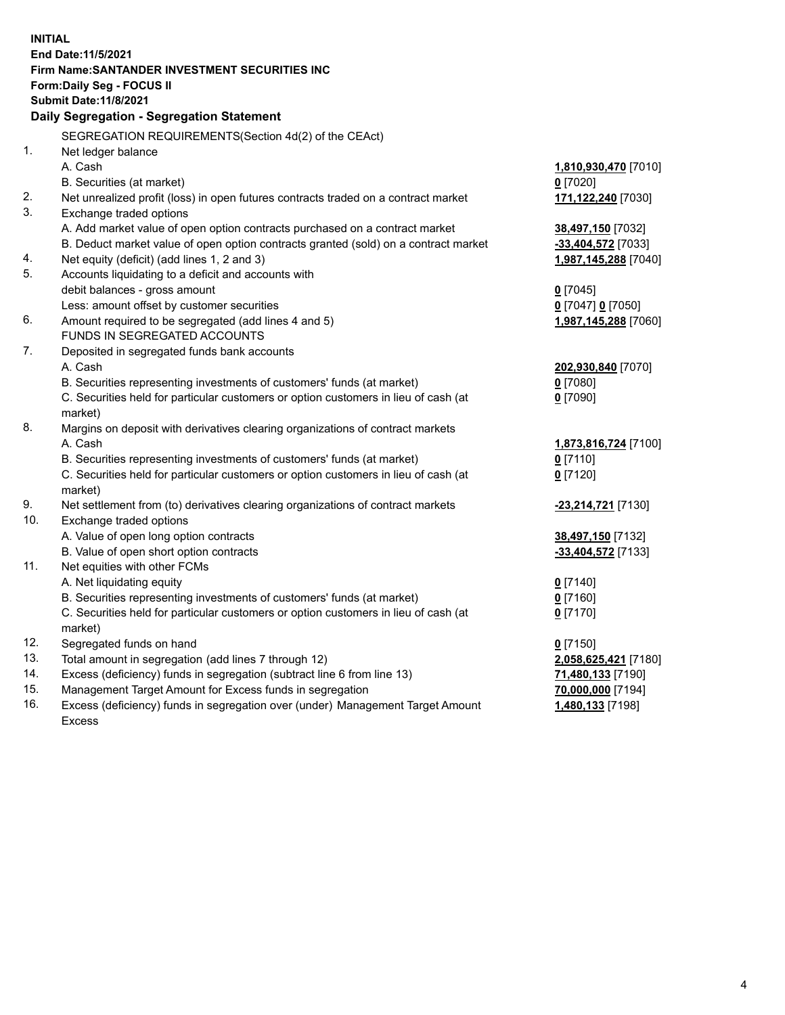| <b>INITIAL</b> |                                                                                           |                      |
|----------------|-------------------------------------------------------------------------------------------|----------------------|
|                | End Date: 11/5/2021                                                                       |                      |
|                | Firm Name: SANTANDER INVESTMENT SECURITIES INC                                            |                      |
|                | Form: Daily Seg - FOCUS II                                                                |                      |
|                | <b>Submit Date: 11/8/2021</b>                                                             |                      |
|                | Daily Segregation - Segregation Statement                                                 |                      |
|                | SEGREGATION REQUIREMENTS(Section 4d(2) of the CEAct)                                      |                      |
| 1.             | Net ledger balance                                                                        |                      |
|                | A. Cash                                                                                   | 1,810,930,470 [7010] |
|                | B. Securities (at market)                                                                 | $0$ [7020]           |
| 2.             | Net unrealized profit (loss) in open futures contracts traded on a contract market        | 171,122,240 [7030]   |
| 3.             | Exchange traded options                                                                   |                      |
|                | A. Add market value of open option contracts purchased on a contract market               | 38,497,150 [7032]    |
|                | B. Deduct market value of open option contracts granted (sold) on a contract market       | -33,404,572 [7033]   |
| 4.             | Net equity (deficit) (add lines 1, 2 and 3)                                               | 1,987,145,288 [7040] |
| 5.             | Accounts liquidating to a deficit and accounts with                                       |                      |
|                | debit balances - gross amount                                                             | $0$ [7045]           |
|                | Less: amount offset by customer securities                                                | 0 [7047] 0 [7050]    |
| 6.             | Amount required to be segregated (add lines 4 and 5)                                      | 1,987,145,288 [7060] |
|                | FUNDS IN SEGREGATED ACCOUNTS                                                              |                      |
| 7.             | Deposited in segregated funds bank accounts                                               |                      |
|                | A. Cash                                                                                   | 202,930,840 [7070]   |
|                | B. Securities representing investments of customers' funds (at market)                    | $0$ [7080]           |
|                | C. Securities held for particular customers or option customers in lieu of cash (at       | $0$ [7090]           |
| 8.             | market)<br>Margins on deposit with derivatives clearing organizations of contract markets |                      |
|                | A. Cash                                                                                   | 1,873,816,724 [7100] |
|                | B. Securities representing investments of customers' funds (at market)                    | $0$ [7110]           |
|                | C. Securities held for particular customers or option customers in lieu of cash (at       | $0$ [7120]           |
|                | market)                                                                                   |                      |
| 9.             | Net settlement from (to) derivatives clearing organizations of contract markets           | 23,214,721 [7130]    |
| 10.            | Exchange traded options                                                                   |                      |
|                | A. Value of open long option contracts                                                    | 38,497,150 [7132]    |
|                | B. Value of open short option contracts                                                   | -33,404,572 [7133]   |
| 11.            | Net equities with other FCMs                                                              |                      |
|                | A. Net liquidating equity                                                                 | $0$ [7140]           |
|                | B. Securities representing investments of customers' funds (at market)                    | $0$ [7160]           |
|                | C. Securities held for particular customers or option customers in lieu of cash (at       | $0$ [7170]           |
|                | market)                                                                                   |                      |
| 12.            | Segregated funds on hand                                                                  | $0$ [7150]           |
| 13.            | Total amount in segregation (add lines 7 through 12)                                      | 2,058,625,421 [7180] |
| 14.            | Excess (deficiency) funds in segregation (subtract line 6 from line 13)                   | 71,480,133 [7190]    |
| 15.            | Management Target Amount for Excess funds in segregation                                  | 70,000,000 [7194]    |
| 16.            | Excess (deficiency) funds in segregation over (under) Management Target Amount            | 1,480,133 [7198]     |
|                | <b>Excess</b>                                                                             |                      |